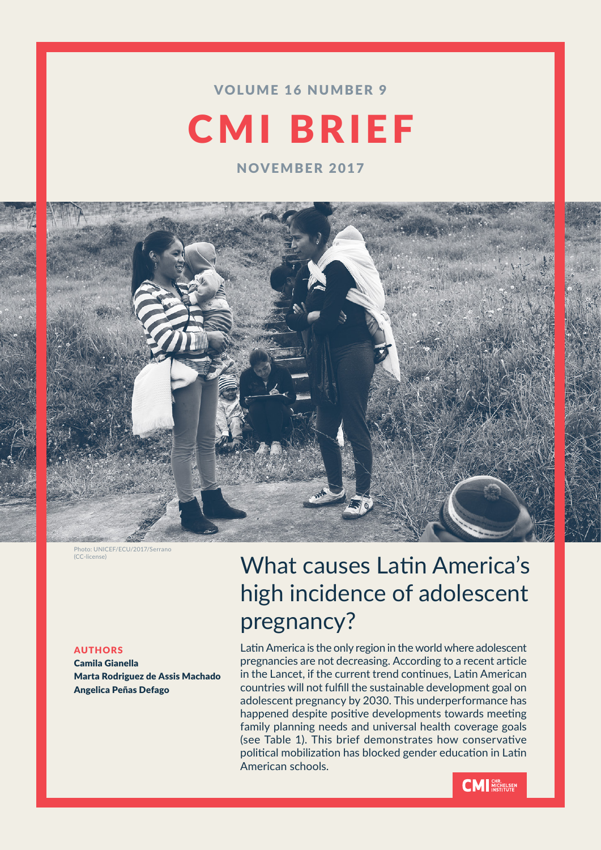### VOLUME 16 NUMBER 9

# CMI BRIEF

NOVEMBER 2017



Photo: UNICEF/ECU/2017/Serrano (CC-license)

#### AUTHORS

Camila Gianella Marta Rodriguez de Assis Machado Angelica Peñas Defago

## What causes Latin America's high incidence of adolescent pregnancy?

Latin America is the only region in the world where adolescent pregnancies are not decreasing. According to a recent article in the Lancet, if the current trend continues, Latin American countries will not fulfill the sustainable development goal on adolescent pregnancy by 2030. This underperformance has happened despite positive developments towards meeting family planning needs and universal health coverage goals (see Table 1). This brief demonstrates how conservative political mobilization has blocked gender education in Latin American schools.

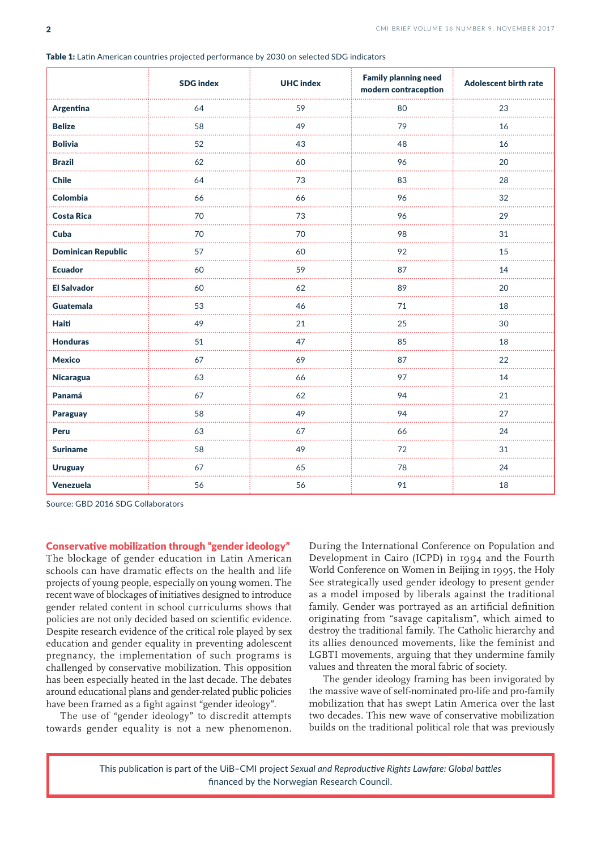|                           | <b>SDG</b> index | <b>UHC</b> index | <b>Family planning need</b><br>modern contraception | Adolescent birth rate |
|---------------------------|------------------|------------------|-----------------------------------------------------|-----------------------|
| Argentina                 | 64               | 59               | 80                                                  | 23                    |
| <b>Belize</b>             | 58               | 49               | 79                                                  | 16                    |
| <b>Bolivia</b>            | 52               | 43               | 48                                                  | 16                    |
| <b>Brazil</b>             | 62               | 60               | 96                                                  | 20                    |
| <b>Chile</b>              | 64               | 73               | 83                                                  | 28                    |
| <b>Colombia</b>           | 66               | 66               | 96                                                  | 32                    |
| <b>Costa Rica</b>         | 70               | 73               | 96                                                  | 29                    |
| Cuba                      | 70<br>.          | 70<br>.          | 98                                                  | 31<br>.               |
| <b>Dominican Republic</b> | 57               | 60               | 92                                                  | 15                    |
| <b>Ecuador</b>            | 60               | 59               | 87                                                  | 14                    |
| <b>El Salvador</b>        | 60               | 62               | 89                                                  | 20                    |
| <b>Guatemala</b>          | 53               | 46               | 71                                                  | 18                    |
| Haiti                     | 49               | 21               | 25                                                  | 30<br>a a a a a       |
| <b>Honduras</b>           | 51               | 47               | 85                                                  | 18                    |
| <b>Mexico</b>             | 67               | 69               | 87                                                  | 22                    |
| Nicaragua                 | 63               | 66               | 97                                                  | 14                    |
| Panamá                    | 67               | 62               | 94                                                  | 21                    |
| <b>Paraguay</b>           | 58               | 49               | 94                                                  | 27                    |
| Peru                      | 63               | 67               | 66                                                  | 24                    |
| <b>Suriname</b><br>.      | 58               | 49<br>.          | 72<br>.                                             | 31<br>.               |
| <b>Uruguay</b>            | 67               | 65               | 78                                                  | 24                    |
| Venezuela                 | 56               | 56               | 91                                                  | 18                    |

Table 1: Latin American countries projected performance by 2030 on selected SDG indicators

Source: GBD 2016 SDG Collaborators

Conservative mobilization through "gender ideology"

The blockage of gender education in Latin American schools can have dramatic effects on the health and life projects of young people, especially on young women. The recent wave of blockages of initiatives designed to introduce gender related content in school curriculums shows that policies are not only decided based on scientific evidence. Despite research evidence of the critical role played by sex education and gender equality in preventing adolescent pregnancy, the implementation of such programs is challenged by conservative mobilization. This opposition has been especially heated in the last decade. The debates around educational plans and gender-related public policies have been framed as a fight against "gender ideology".

The use of "gender ideology" to discredit attempts towards gender equality is not a new phenomenon. During the International Conference on Population and Development in Cairo (ICPD) in 1994 and the Fourth World Conference on Women in Beijing in 1995, the Holy See strategically used gender ideology to present gender as a model imposed by liberals against the traditional family. Gender was portrayed as an artificial definition originating from "savage capitalism", which aimed to destroy the traditional family. The Catholic hierarchy and its allies denounced movements, like the feminist and LGBTI movements, arguing that they undermine family values and threaten the moral fabric of society.

The gender ideology framing has been invigorated by the massive wave of self-nominated pro-life and pro-family mobilization that has swept Latin America over the last two decades. This new wave of conservative mobilization builds on the traditional political role that was previously

This publication is part of the UiB–CMI project *Sexual and Reproductive Rights Lawfare: Global battles* financed by the Norwegian Research Council.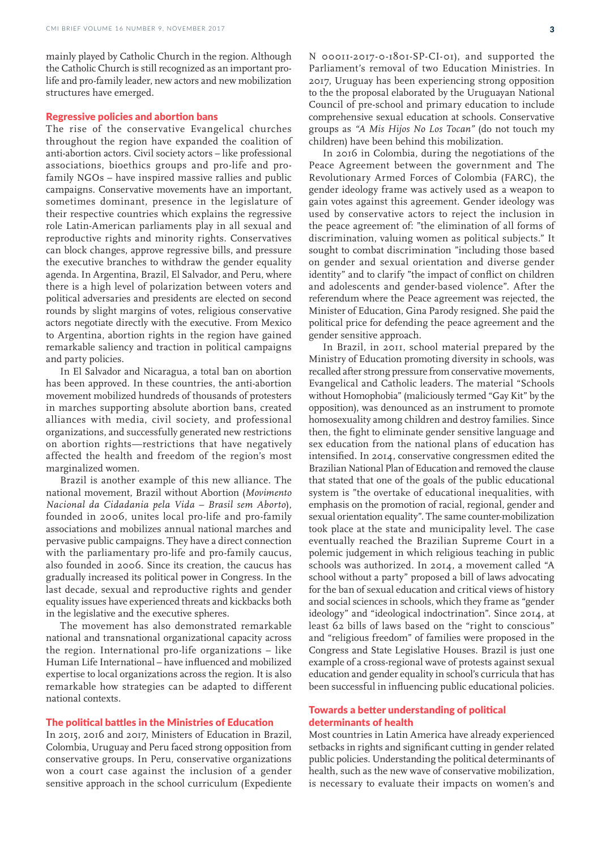mainly played by Catholic Church in the region. Although the Catholic Church is still recognized as an important prolife and pro-family leader, new actors and new mobilization structures have emerged.

#### Regressive policies and abortion bans

The rise of the conservative Evangelical churches throughout the region have expanded the coalition of anti-abortion actors. Civil society actors – like professional associations, bioethics groups and pro-life and profamily NGOs – have inspired massive rallies and public campaigns. Conservative movements have an important, sometimes dominant, presence in the legislature of their respective countries which explains the regressive role Latin-American parliaments play in all sexual and reproductive rights and minority rights. Conservatives can block changes, approve regressive bills, and pressure the executive branches to withdraw the gender equality agenda. In Argentina, Brazil, El Salvador, and Peru, where there is a high level of polarization between voters and political adversaries and presidents are elected on second rounds by slight margins of votes, religious conservative actors negotiate directly with the executive. From Mexico to Argentina, abortion rights in the region have gained remarkable saliency and traction in political campaigns and party policies.

In El Salvador and Nicaragua, a total ban on abortion has been approved. In these countries, the anti-abortion movement mobilized hundreds of thousands of protesters in marches supporting absolute abortion bans, created alliances with media, civil society, and professional organizations, and successfully generated new restrictions on abortion rights—restrictions that have negatively affected the health and freedom of the region's most marginalized women.

Brazil is another example of this new alliance. The national movement, Brazil without Abortion (*Movimento Nacional da Cidadania pela Vida – Brasil sem Aborto*), founded in 2006, unites local pro-life and pro-family associations and mobilizes annual national marches and pervasive public campaigns. They have a direct connection with the parliamentary pro-life and pro-family caucus, also founded in 2006. Since its creation, the caucus has gradually increased its political power in Congress. In the last decade, sexual and reproductive rights and gender equality issues have experienced threats and kickbacks both in the legislative and the executive spheres.

The movement has also demonstrated remarkable national and transnational organizational capacity across the region. International pro-life organizations – like Human Life International – have influenced and mobilized expertise to local organizations across the region. It is also remarkable how strategies can be adapted to different national contexts.

#### The political battles in the Ministries of Education

In 2015, 2016 and 2017, Ministers of Education in Brazil, Colombia, Uruguay and Peru faced strong opposition from conservative groups. In Peru, conservative organizations won a court case against the inclusion of a gender sensitive approach in the school curriculum (Expediente N 00011-2017-0-1801-SP-CI-01), and supported the Parliament's removal of two Education Ministries. In 2017, Uruguay has been experiencing strong opposition to the the proposal elaborated by the Uruguayan National Council of pre-school and primary education to include comprehensive sexual education at schools. Conservative groups as *"A Mis Hijos No Los Tocan"* (do not touch my children) have been behind this mobilization.

In 2016 in Colombia, during the negotiations of the Peace Agreement between the government and The Revolutionary Armed Forces of Colombia (FARC), the gender ideology frame was actively used as a weapon to gain votes against this agreement. Gender ideology was used by conservative actors to reject the inclusion in the peace agreement of: "the elimination of all forms of discrimination, valuing women as political subjects." It sought to combat discrimination "including those based on gender and sexual orientation and diverse gender identity" and to clarify "the impact of conflict on children and adolescents and gender-based violence". After the referendum where the Peace agreement was rejected, the Minister of Education, Gina Parody resigned. She paid the political price for defending the peace agreement and the gender sensitive approach.

In Brazil, in 2011, school material prepared by the Ministry of Education promoting diversity in schools, was recalled after strong pressure from conservative movements, Evangelical and Catholic leaders. The material "Schools without Homophobia" (maliciously termed "Gay Kit" by the opposition), was denounced as an instrument to promote homosexuality among children and destroy families. Since then, the fight to eliminate gender sensitive language and sex education from the national plans of education has intensified. In 2014, conservative congressmen edited the Brazilian National Plan of Education and removed the clause that stated that one of the goals of the public educational system is "the overtake of educational inequalities, with emphasis on the promotion of racial, regional, gender and sexual orientation equality". The same counter-mobilization took place at the state and municipality level. The case eventually reached the Brazilian Supreme Court in a polemic judgement in which religious teaching in public schools was authorized. In 2014, a movement called "A school without a party" proposed a bill of laws advocating for the ban of sexual education and critical views of history and social sciences in schools, which they frame as "gender ideology" and "ideological indoctrination". Since 2014, at least 62 bills of laws based on the "right to conscious" and "religious freedom" of families were proposed in the Congress and State Legislative Houses. Brazil is just one example of a cross-regional wave of protests against sexual education and gender equality in school's curricula that has been successful in influencing public educational policies.

#### Towards a better understanding of political determinants of health

Most countries in Latin America have already experienced setbacks in rights and significant cutting in gender related public policies. Understanding the political determinants of health, such as the new wave of conservative mobilization, is necessary to evaluate their impacts on women's and